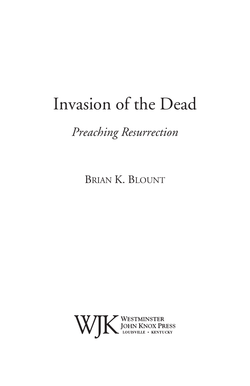# Invasion of the Dead

*Preaching Resurrection*

Brian K. Blount

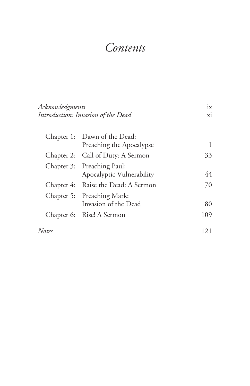# *Contents*

| Acknowledgments<br>Introduction: Invasion of the Dead |                                                          | 1X  |
|-------------------------------------------------------|----------------------------------------------------------|-----|
|                                                       |                                                          | xi  |
|                                                       | Chapter 1: Dawn of the Dead:<br>Preaching the Apocalypse | 1   |
|                                                       | Chapter 2: Call of Duty: A Sermon                        | 33  |
|                                                       | Chapter 3: Preaching Paul:<br>Apocalyptic Vulnerability  | 44  |
|                                                       | Chapter 4: Raise the Dead: A Sermon                      | 70  |
|                                                       | Chapter 5: Preaching Mark:<br>Invasion of the Dead       | 80  |
|                                                       | Chapter 6: Rise! A Sermon                                | 109 |
| Notes                                                 |                                                          | 121 |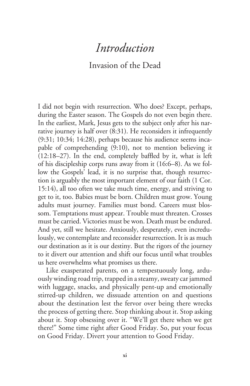## *Introduction*

## Invasion of the Dead

I did not begin with resurrection. Who does? Except, perhaps, during the Easter season. The Gospels do not even begin there. In the earliest, Mark, Jesus gets to the subject only after his narrative journey is half over (8:31). He reconsiders it infrequently (9:31; 10:34; 14:28), perhaps because his audience seems incapable of comprehending (9:10), not to mention believing it (12:18–27). In the end, completely baffled by it, what is left of his discipleship corps runs away from it (16:6–8). As we follow the Gospels' lead, it is no surprise that, though resurrection is arguably the most important element of our faith (1 Cor. 15:14), all too often we take much time, energy, and striving to get to it, too. Babies must be born. Children must grow. Young adults must journey. Families must bond. Careers must blossom. Temptations must appear. Trouble must threaten. Crosses must be carried. Victories must be won. Death must be endured. And yet, still we hesitate. Anxiously, desperately, even incredulously, we contemplate and reconsider resurrection. It is as much our destination as it is our destiny. But the rigors of the journey to it divert our attention and shift our focus until what troubles us here overwhelms what promises us there.

Like exasperated parents, on a tempestuously long, arduously winding road trip, trapped in a steamy, sweaty car jammed with luggage, snacks, and physically pent-up and emotionally stirred-up children, we dissuade attention on and questions about the destination lest the fervor over being there wrecks the process of getting there. Stop thinking about it. Stop asking about it. Stop obsessing over it. "We'll get there when we get there!" Some time right after Good Friday. So, put your focus on Good Friday. Divert your attention to Good Friday.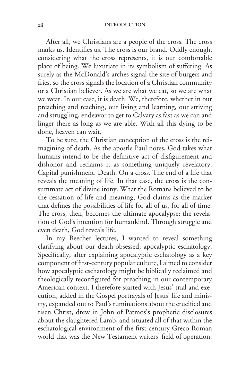After all, we Christians are a people of the cross. The cross marks us. Identifies us. The cross is our brand. Oddly enough, considering what the cross represents, it is our comfortable place of being. We luxuriate in its symbolism of suffering. As surely as the McDonald's arches signal the site of burgers and fries, so the cross signals the location of a Christian community or a Christian believer. As we are what we eat, so we are what we wear. In our case, it is death. We, therefore, whether in our preaching and teaching, our living and learning, our striving and struggling, endeavor to get to Calvary as fast as we can and linger there as long as we are able. With all this dying to be done, heaven can wait.

To be sure, the Christian conception of the cross is the reimagining of death. As the apostle Paul notes, God takes what humans intend to be the definitive act of disfigurement and dishonor and reclaims it as something uniquely revelatory. Capital punishment. Death. On a cross. The end of a life that reveals the meaning of life. In that case, the cross is the consummate act of divine irony. What the Romans believed to be the cessation of life and meaning, God claims as the marker that defines the possibilities of life for all of us, for all of time. The cross, then, becomes the ultimate apocalypse: the revelation of God's intention for humankind. Through struggle and even death, God reveals life.

In my Beecher lectures, I wanted to reveal something clarifying about our death-obsessed, apocalyptic eschatology. Specifically, after explaining apocalyptic eschatology as a key component of first-century popular culture, I aimed to consider how apocalyptic eschatology might be biblically reclaimed and theologically reconfigured for preaching in our contemporary American context. I therefore started with Jesus' trial and execution, added in the Gospel portrayals of Jesus' life and ministry, expanded out to Paul's ruminations about the crucified and risen Christ, drew in John of Patmos's prophetic disclosures about the slaughtered Lamb, and situated all of that within the eschatological environment of the first-century Greco-Roman world that was the New Testament writers' field of operation.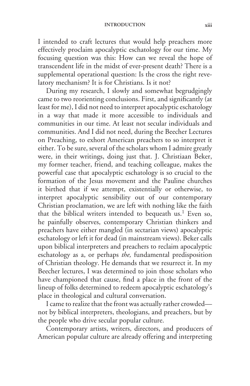I intended to craft lectures that would help preachers more effectively proclaim apocalyptic eschatology for our time. My focusing question was this: How can we reveal the hope of transcendent life in the midst of ever-present death? There is a supplemental operational question: Is the cross the right revelatory mechanism? It is for Christians. Is it not?

During my research, I slowly and somewhat begrudgingly came to two reorienting conclusions. First, and significantly (at least for me), I did not need to interpret apocalyptic eschatology in a way that made it more accessible to individuals and communities in our time. At least not secular individuals and communities. And I did not need, during the Beecher Lectures on Preaching, to exhort American preachers to so interpret it either. To be sure, several of the scholars whom I admire greatly were, in their writings, doing just that. J. Christiaan Beker, my former teacher, friend, and teaching colleague, makes the powerful case that apocalyptic eschatology is so crucial to the formation of the Jesus movement and the Pauline churches it birthed that if we attempt, existentially or otherwise, to interpret apocalyptic sensibility out of our contemporary Christian proclamation, we are left with nothing like the faith that the biblical writers intended to bequeath us.<sup>1</sup> Even so, he painfully observes, contemporary Christian thinkers and preachers have either mangled (in sectarian views) apocalyptic eschatology or left it for dead (in mainstream views). Beker calls upon biblical interpreters and preachers to reclaim apocalyptic eschatology as a, or perhaps *the,* fundamental predisposition of Christian theology. He demands that we resurrect it. In my Beecher lectures, I was determined to join those scholars who have championed that cause, find a place in the front of the lineup of folks determined to redeem apocalyptic eschatology's place in theological and cultural conversation.

I came to realize that the front was actually rather crowded not by biblical interpreters, theologians, and preachers, but by the people who drive secular popular culture.

Contemporary artists, writers, directors, and producers of American popular culture are already offering and interpreting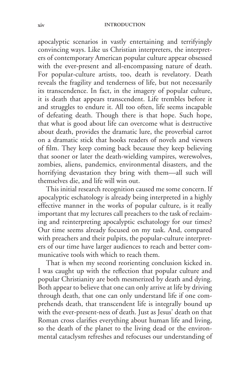apocalyptic scenarios in vastly entertaining and terrifyingly convincing ways. Like us Christian interpreters, the interpreters of contemporary American popular culture appear obsessed with the ever-present and all-encompassing nature of death. For popular-culture artists, too, death is revelatory. Death reveals the fragility and tenderness of life, but not necessarily its transcendence. In fact, in the imagery of popular culture, it is death that appears transcendent. Life trembles before it and struggles to endure it. All too often, life seems incapable of defeating death. Though there is that hope. Such hope, that what is good about life can overcome what is destructive about death, provides the dramatic lure, the proverbial carrot on a dramatic stick that hooks readers of novels and viewers of film. They keep coming back because they keep believing that sooner or later the death-wielding vampires, werewolves, zombies, aliens, pandemics, environmental disasters, and the horrifying devastation they bring with them—all such will themselves die, and life will win out.

This initial research recognition caused me some concern. If apocalyptic eschatology is already being interpreted in a highly effective manner in the works of popular culture, is it really important that my lectures call preachers to the task of reclaiming and reinterpreting apocalyptic eschatology for our times? Our time seems already focused on my task. And, compared with preachers and their pulpits, the popular-culture interpreters of our time have larger audiences to reach and better communicative tools with which to reach them.

That is when my second reorienting conclusion kicked in. I was caught up with the reflection that popular culture and popular Christianity are both mesmerized by death and dying. Both appear to believe that one can only arrive at life by driving through death, that one can only understand life if one comprehends death, that transcendent life is integrally bound up with the ever-present-ness of death. Just as Jesus' death on that Roman cross clarifies everything about human life and living, so the death of the planet to the living dead or the environmental cataclysm refreshes and refocuses our understanding of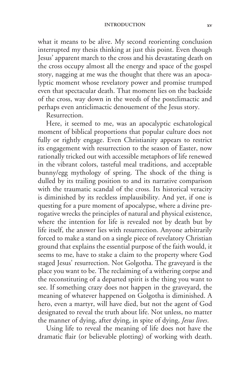#### **introduction xv**

what it means to be alive. My second reorienting conclusion interrupted my thesis thinking at just this point. Even though Jesus' apparent march to the cross and his devastating death on the cross occupy almost all the energy and space of the gospel story, nagging at me was the thought that there was an apocalyptic moment whose revelatory power and promise trumped even that spectacular death. That moment lies on the backside of the cross, way down in the weeds of the postclimactic and perhaps even anticlimactic denouement of the Jesus story.

Resurrection.

Here, it seemed to me, was an apocalyptic eschatological moment of biblical proportions that popular culture does not fully or rightly engage. Even Christianity appears to restrict its engagement with resurrection to the season of Easter, now rationally tricked out with accessible metaphors of life renewed in the vibrant colors, tasteful meal traditions, and acceptable bunny/egg mythology of spring. The shock of the thing is dulled by its trailing position to and its narrative comparison with the traumatic scandal of the cross. Its historical veracity is diminished by its reckless implausibility. And yet, if one is questing for a pure moment of apocalypse, where a divine prerogative wrecks the principles of natural and physical existence, where the intention for life is revealed not by death but by life itself, the answer lies with resurrection. Anyone arbitrarily forced to make a stand on a single piece of revelatory Christian ground that explains the essential purpose of the faith would, it seems to me, have to stake a claim to the property where God staged Jesus' resurrection. Not Golgotha. The graveyard is the place you want to be. The reclaiming of a withering corpse and the reconstituting of a departed spirit is the thing you want to see. If something crazy does not happen in the graveyard, the meaning of whatever happened on Golgotha is diminished. A hero, even a martyr, will have died, but not the agent of God designated to reveal the truth about life. Not unless, no matter the manner of dying, after dying, in spite of dying, *Jesus lives*.

Using life to reveal the meaning of life does not have the dramatic flair (or believable plotting) of working with death.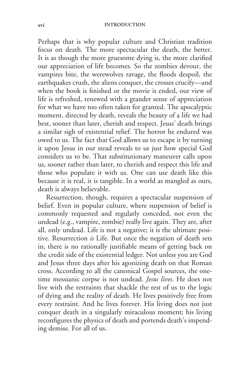Perhaps that is why popular culture and Christian tradition focus on death. The more spectacular the death, the better. It is as though the more gruesome dying is, the more clarified our appreciation of life becomes. So the zombies devour, the vampires bite, the werewolves ravage, the floods despoil, the earthquakes crush, the aliens conquer, the crosses crucify—and when the book is finished or the movie is ended, our view of life is refreshed, renewed with a grander sense of appreciation for what we have too often taken for granted. The apocalyptic moment, directed by death, reveals the beauty of a life we had best, sooner than later, cherish and respect. Jesus' death brings a similar sigh of existential relief. The horror he endured was owed to us. The fact that God allows us to escape it by turning it upon Jesus in our stead reveals to us just how special God considers us to be. That substitutionary maneuver calls upon us, sooner rather than later, to cherish and respect this life and those who populate it with us. One can use death like this because it is real, it is tangible. In a world as mangled as ours, death is always believable.

Resurrection, though, requires a spectacular suspension of belief. Even in popular culture, where suspension of belief is commonly requested and regularly conceded, not even the undead (e.g., vampire, zombie) really live again. They are, after all, only undead. Life is not a negative; it is the ultimate positive. Resurrection *is* Life. But once the negation of death sets in, there is no rationally justifiable means of getting back on the credit side of the existential ledger. Not unless you are God and Jesus three days after his agonizing death on that Roman cross. According to all the canonical Gospel sources, the onetime messianic corpse is not undead. *Jesus lives*. He does not live with the restraints that shackle the rest of us to the logic of dying and the reality of death. He lives positively free from every restraint. And he lives forever. His living does not just conquer death in a singularly miraculous moment; his living reconfigures the physics of death and portends death's impending demise. For all of us.